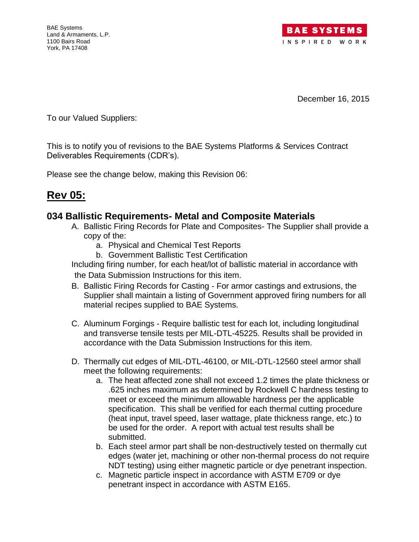

December 16, 2015

To our Valued Suppliers:

This is to notify you of revisions to the BAE Systems Platforms & Services Contract Deliverables Requirements (CDR's).

Please see the change below, making this Revision 06:

# **Rev 05:**

## **034 Ballistic Requirements- Metal and Composite Materials**

- A. Ballistic Firing Records for Plate and Composites- The Supplier shall provide a copy of the:
	- a. Physical and Chemical Test Reports
	- b. Government Ballistic Test Certification

Including firing number, for each heat/lot of ballistic material in accordance with the Data Submission Instructions for this item.

- B. Ballistic Firing Records for Casting For armor castings and extrusions, the Supplier shall maintain a listing of Government approved firing numbers for all material recipes supplied to BAE Systems.
- C. Aluminum Forgings Require ballistic test for each lot, including longitudinal and transverse tensile tests per MIL-DTL-45225. Results shall be provided in accordance with the Data Submission Instructions for this item.
- D. Thermally cut edges of MIL-DTL-46100, or MIL-DTL-12560 steel armor shall meet the following requirements:
	- a. The heat affected zone shall not exceed 1.2 times the plate thickness or .625 inches maximum as determined by Rockwell C hardness testing to meet or exceed the minimum allowable hardness per the applicable specification. This shall be verified for each thermal cutting procedure (heat input, travel speed, laser wattage, plate thickness range, etc.) to be used for the order. A report with actual test results shall be submitted.
	- b. Each steel armor part shall be non-destructively tested on thermally cut edges (water jet, machining or other non-thermal process do not require NDT testing) using either magnetic particle or dye penetrant inspection.
	- c. Magnetic particle inspect in accordance with ASTM E709 or dye penetrant inspect in accordance with ASTM E165.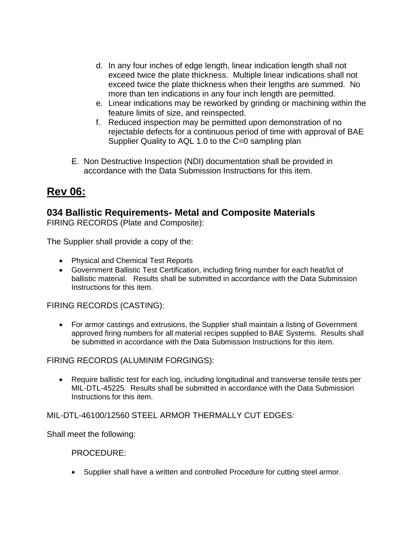- d. In any four inches of edge length, linear indication length shall not exceed twice the plate thickness. Multiple linear indications shall not exceed twice the plate thickness when their lengths are summed. No more than ten indications in any four inch length are permitted.
- e. Linear indications may be reworked by grinding or machining within the feature limits of size, and reinspected.
- f. Reduced inspection may be permitted upon demonstration of no rejectable defects for a continuous period of time with approval of BAE Supplier Quality to AQL 1.0 to the C=0 sampling plan
- E. Non Destructive Inspection (NDI) documentation shall be provided in accordance with the Data Submission Instructions for this item.

# **Rev 06:**

## **034 Ballistic Requirements- Metal and Composite Materials**

FIRING RECORDS (Plate and Composite):

The Supplier shall provide a copy of the:

- Physical and Chemical Test Reports
- Government Ballistic Test Certification, including firing number for each heat/lot of ballistic material. Results shall be submitted in accordance with the Data Submission Instructions for this item.

FIRING RECORDS (CASTING):

 For armor castings and extrusions, the Supplier shall maintain a listing of Government approved firing numbers for all material recipes supplied to BAE Systems. Results shall be submitted in accordance with the Data Submission Instructions for this item.

FIRING RECORDS (ALUMINIM FORGINGS):

 Require ballistic test for each log, including longitudinal and transverse tensile tests per MIL-DTL-45225. Results shall be submitted in accordance with the Data Submission Instructions for this item.

### MIL-DTL-46100/12560 STEEL ARMOR THERMALLY CUT EDGES:

Shall meet the following:

#### PROCEDURE:

Supplier shall have a written and controlled Procedure for cutting steel armor.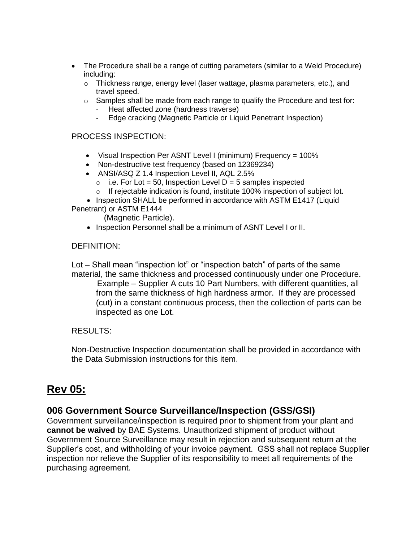- The Procedure shall be a range of cutting parameters (similar to a Weld Procedure) including:
	- $\circ$  Thickness range, energy level (laser wattage, plasma parameters, etc.), and travel speed.
	- $\circ$  Samples shall be made from each range to qualify the Procedure and test for: - Heat affected zone (hardness traverse)
		- Edge cracking (Magnetic Particle or Liquid Penetrant Inspection)

#### PROCESS INSPECTION:

- Visual Inspection Per ASNT Level I (minimum) Frequency = 100%
- Non-destructive test frequency (based on 12369234)
- ANSI/ASQ Z 1.4 Inspection Level II, AQL 2.5%
	- $\circ$  i.e. For Lot = 50, Inspection Level D = 5 samples inspected
	- o If rejectable indication is found, institute 100% inspection of subject lot.

• Inspection SHALL be performed in accordance with ASTM E1417 (Liquid Penetrant) or ASTM E1444

(Magnetic Particle).

• Inspection Personnel shall be a minimum of ASNT Level I or II.

#### DEFINITION:

Lot – Shall mean "inspection lot" or "inspection batch" of parts of the same material, the same thickness and processed continuously under one Procedure. Example – Supplier A cuts 10 Part Numbers, with different quantities, all from the same thickness of high hardness armor. If they are processed (cut) in a constant continuous process, then the collection of parts can be inspected as one Lot.

#### RESULTS:

Non-Destructive Inspection documentation shall be provided in accordance with the Data Submission instructions for this item.

## **Rev 05:**

## **006 Government Source Surveillance/Inspection (GSS/GSI)**

Government surveillance/inspection is required prior to shipment from your plant and **cannot be waived** by BAE Systems. Unauthorized shipment of product without Government Source Surveillance may result in rejection and subsequent return at the Supplier's cost, and withholding of your invoice payment. GSS shall not replace Supplier inspection nor relieve the Supplier of its responsibility to meet all requirements of the purchasing agreement.